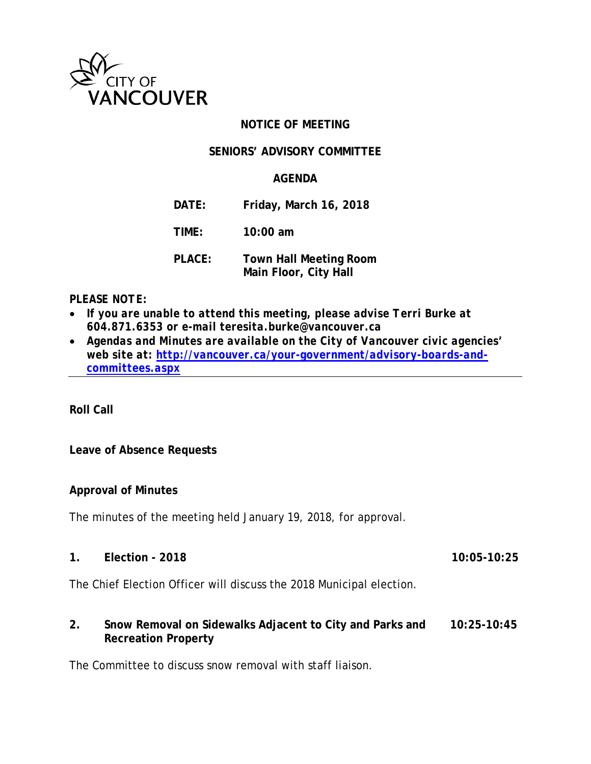

# **NOTICE OF MEETING**

# **SENIORS' ADVISORY COMMITTEE**

# **AGENDA**

- **DATE: Friday, March 16, 2018**
- **TIME: 10:00 am**
- **PLACE: Town Hall Meeting Room Main Floor, City Hall**

#### *PLEASE NOTE:*

- If you are unable to attend this meeting, please advise Terri Burke at *604.871.6353 or e-mail teresita.burke@vancouver.ca*
- *Agendas and Minutes are available on the City of Vancouver civic agencies' web site at: [http://vancouver.ca/your-government/advisory-boards-and](http://vancouver.ca/your-government/advisory-boards-and-committees.aspx)[committees.aspx](http://vancouver.ca/your-government/advisory-boards-and-committees.aspx)*

**Roll Call**

# **Leave of Absence Requests**

# **Approval of Minutes**

The minutes of the meeting held January 19, 2018, for approval.

**1. Election - 2018 10:05-10:25**

The Chief Election Officer will discuss the 2018 Municipal election.

# **2. Snow Removal on Sidewalks Adjacent to City and Parks and 10:25-10:45 Recreation Property**

The Committee to discuss snow removal with staff liaison.